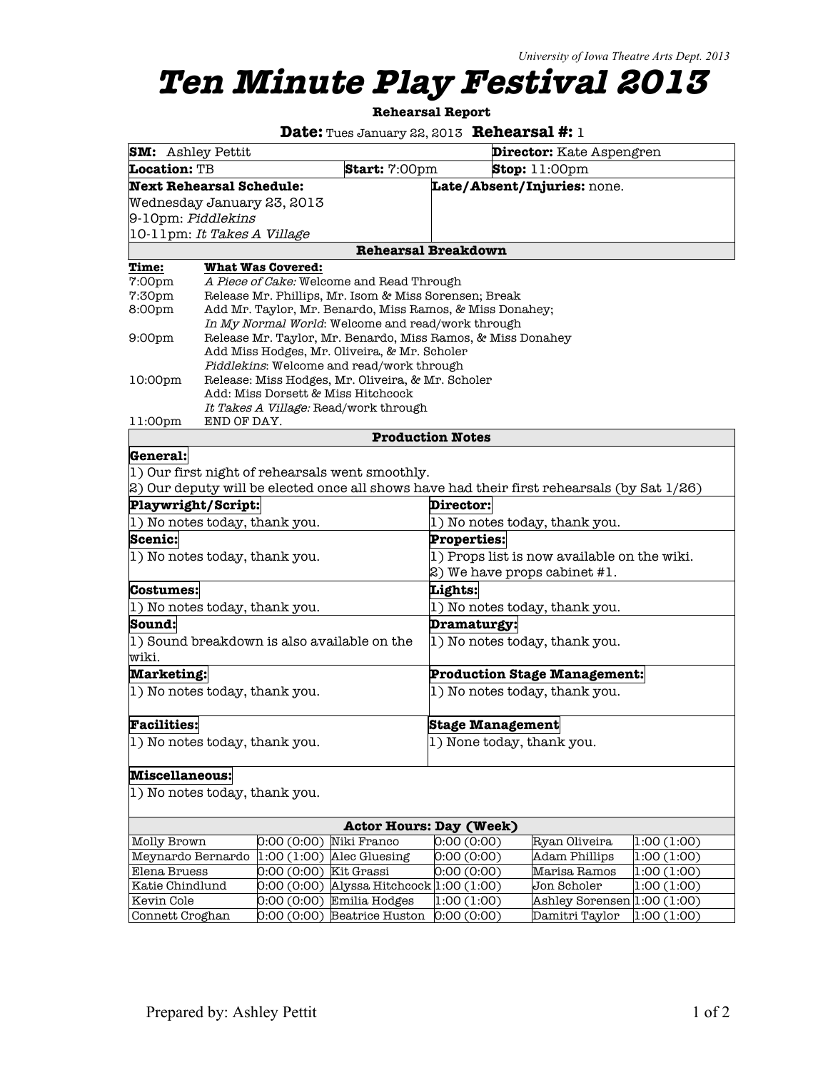## **Ten Minute Play Festival 2013**

**Rehearsal Report**

**Date:** Tues January 22, 2013 **Rehearsal #:** 1

| <b>SM:</b> Ashley Pettit                                                                  |                                                                                         |                                                                                            | <b>Director:</b> Kate Aspengren             |                                            |            |  |  |  |
|-------------------------------------------------------------------------------------------|-----------------------------------------------------------------------------------------|--------------------------------------------------------------------------------------------|---------------------------------------------|--------------------------------------------|------------|--|--|--|
| Location: TB                                                                              |                                                                                         |                                                                                            | Start: 7:00pm<br>Stop: 11:00pm              |                                            |            |  |  |  |
| <b>Next Rehearsal Schedule:</b><br>Late/Absent/Injuries: none.                            |                                                                                         |                                                                                            |                                             |                                            |            |  |  |  |
|                                                                                           | Wednesday January 23, 2013                                                              |                                                                                            |                                             |                                            |            |  |  |  |
| 9-10pm: Piddlekins                                                                        |                                                                                         |                                                                                            |                                             |                                            |            |  |  |  |
| 10-11pm: It Takes A Village                                                               |                                                                                         |                                                                                            |                                             |                                            |            |  |  |  |
| <b>Rehearsal Breakdown</b>                                                                |                                                                                         |                                                                                            |                                             |                                            |            |  |  |  |
| Time:                                                                                     | <b>What Was Covered:</b>                                                                |                                                                                            |                                             |                                            |            |  |  |  |
| 7:00pm                                                                                    | A Piece of Cake: Welcome and Read Through                                               |                                                                                            |                                             |                                            |            |  |  |  |
| 7:30pm                                                                                    | Release Mr. Phillips, Mr. Isom & Miss Sorensen; Break                                   |                                                                                            |                                             |                                            |            |  |  |  |
| 8:00pm                                                                                    | Add Mr. Taylor, Mr. Benardo, Miss Ramos, & Miss Donahey;                                |                                                                                            |                                             |                                            |            |  |  |  |
| In My Normal World: Welcome and read/work through                                         |                                                                                         |                                                                                            |                                             |                                            |            |  |  |  |
|                                                                                           | 9:00 <sub>pm</sub><br>Release Mr. Taylor, Mr. Benardo, Miss Ramos, & Miss Donahey       |                                                                                            |                                             |                                            |            |  |  |  |
| Add Miss Hodges, Mr. Oliveira, & Mr. Scholer<br>Piddlekins: Welcome and read/work through |                                                                                         |                                                                                            |                                             |                                            |            |  |  |  |
| 10:00 <sub>pm</sub>                                                                       |                                                                                         |                                                                                            |                                             |                                            |            |  |  |  |
|                                                                                           | Release: Miss Hodges, Mr. Oliveira, & Mr. Scholer<br>Add: Miss Dorsett & Miss Hitchcock |                                                                                            |                                             |                                            |            |  |  |  |
|                                                                                           |                                                                                         | It Takes A Village: Read/work through                                                      |                                             |                                            |            |  |  |  |
| 11:00pm<br>END OF DAY.                                                                    |                                                                                         |                                                                                            |                                             |                                            |            |  |  |  |
|                                                                                           |                                                                                         |                                                                                            | <b>Production Notes</b>                     |                                            |            |  |  |  |
| General:                                                                                  |                                                                                         |                                                                                            |                                             |                                            |            |  |  |  |
|                                                                                           |                                                                                         | 1) Our first night of rehearsals went smoothly.                                            |                                             |                                            |            |  |  |  |
|                                                                                           |                                                                                         | 2) Our deputy will be elected once all shows have had their first rehearsals (by Sat 1/26) |                                             |                                            |            |  |  |  |
| Playwright/Script:<br>Director:                                                           |                                                                                         |                                                                                            |                                             |                                            |            |  |  |  |
|                                                                                           | 1) No notes today, thank you.                                                           |                                                                                            |                                             | 1) No notes today, thank you.              |            |  |  |  |
| Scenic:                                                                                   |                                                                                         |                                                                                            |                                             | <b>Properties:</b>                         |            |  |  |  |
| 1) No notes today, thank you.                                                             |                                                                                         |                                                                                            | 1) Props list is now available on the wiki. |                                            |            |  |  |  |
|                                                                                           |                                                                                         |                                                                                            | 2) We have props cabinet #1.                |                                            |            |  |  |  |
| Costumes:                                                                                 |                                                                                         |                                                                                            | Lights:                                     |                                            |            |  |  |  |
|                                                                                           | 1) No notes today, thank you.                                                           |                                                                                            | 1) No notes today, thank you.               |                                            |            |  |  |  |
| Sound:                                                                                    |                                                                                         |                                                                                            | Dramaturgy:                                 |                                            |            |  |  |  |
|                                                                                           |                                                                                         |                                                                                            | 1) No notes today, thank you.               |                                            |            |  |  |  |
| 1) Sound breakdown is also available on the<br>wiki.                                      |                                                                                         |                                                                                            |                                             |                                            |            |  |  |  |
| <b>Marketing:</b>                                                                         |                                                                                         |                                                                                            | <b>Production Stage Management:</b>         |                                            |            |  |  |  |
| 1) No notes today, thank you.                                                             |                                                                                         |                                                                                            | 1) No notes today, thank you.               |                                            |            |  |  |  |
|                                                                                           |                                                                                         |                                                                                            |                                             |                                            |            |  |  |  |
|                                                                                           |                                                                                         |                                                                                            |                                             |                                            |            |  |  |  |
| <b>Facilities:</b>                                                                        |                                                                                         |                                                                                            | <b>Stage Management</b>                     |                                            |            |  |  |  |
| 1) No notes today, thank you.                                                             |                                                                                         |                                                                                            | 1) None today, thank you.                   |                                            |            |  |  |  |
|                                                                                           |                                                                                         |                                                                                            |                                             |                                            |            |  |  |  |
| <b>Miscellaneous:</b>                                                                     |                                                                                         |                                                                                            |                                             |                                            |            |  |  |  |
| 1) No notes today, thank you.                                                             |                                                                                         |                                                                                            |                                             |                                            |            |  |  |  |
|                                                                                           |                                                                                         |                                                                                            |                                             |                                            |            |  |  |  |
| <b>Actor Hours: Day (Week)</b>                                                            |                                                                                         |                                                                                            |                                             |                                            |            |  |  |  |
| Molly Brown                                                                               | 0:00(0:00)                                                                              | Niki Franco                                                                                | 0:00(0:00)                                  | Ryan Oliveira                              | 1:00(1:00) |  |  |  |
| Meynardo Bernardo                                                                         | 1:00(1:00)                                                                              | Alec Gluesing                                                                              | 0:00(0:00)                                  | <b>Adam Phillips</b>                       | 1:00(1:00) |  |  |  |
| Elena Bruess                                                                              | 0:00(0:00)                                                                              | Kit Grassi                                                                                 | 0:00(0:00)                                  | Marisa Ramos                               | 1:00(1:00) |  |  |  |
| Katie Chindlund<br>Kevin Cole                                                             | 0:00(0:00)<br>0:00(0:00)                                                                | Alyssa Hitchcock 1:00 (1:00)<br>Emilia Hodges                                              | 1:00(1:00)                                  | Jon Scholer<br>Ashley Sorensen 1:00 (1:00) | 1:00(1:00) |  |  |  |
| Connett Croghan                                                                           | 0:00(0:00)                                                                              | <b>Beatrice Huston</b>                                                                     | 0:00(0:00)                                  | Damitri Taylor                             | 1:00(1:00) |  |  |  |
|                                                                                           |                                                                                         |                                                                                            |                                             |                                            |            |  |  |  |